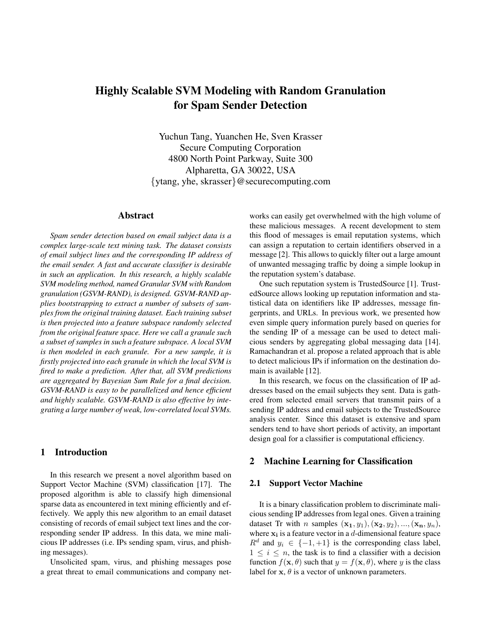# Highly Scalable SVM Modeling with Random Granulation for Spam Sender Detection

Yuchun Tang, Yuanchen He, Sven Krasser Secure Computing Corporation 4800 North Point Parkway, Suite 300 Alpharetta, GA 30022, USA {ytang, yhe, skrasser}@securecomputing.com

#### Abstract

*Spam sender detection based on email subject data is a complex large-scale text mining task. The dataset consists of email subject lines and the corresponding IP address of the email sender. A fast and accurate classifier is desirable in such an application. In this research, a highly scalable SVM modeling method, named Granular SVM with Random granulation (GSVM-RAND), is designed. GSVM-RAND applies bootstrapping to extract a number of subsets of samples from the original training dataset. Each training subset is then projected into a feature subspace randomly selected from the original feature space. Here we call a granule such a subset of samples in such a feature subspace. A local SVM is then modeled in each granule. For a new sample, it is firstly projected into each granule in which the local SVM is fired to make a prediction. After that, all SVM predictions are aggregated by Bayesian Sum Rule for a final decision. GSVM-RAND is easy to be parallelized and hence efficient and highly scalable. GSVM-RAND is also effective by integrating a large number of weak, low-correlated local SVMs.*

## 1 Introduction

In this research we present a novel algorithm based on Support Vector Machine (SVM) classification [17]. The proposed algorithm is able to classify high dimensional sparse data as encountered in text mining efficiently and effectively. We apply this new algorithm to an email dataset consisting of records of email subject text lines and the corresponding sender IP address. In this data, we mine malicious IP addresses (i.e. IPs sending spam, virus, and phishing messages).

Unsolicited spam, virus, and phishing messages pose a great threat to email communications and company networks can easily get overwhelmed with the high volume of these malicious messages. A recent development to stem this flood of messages is email reputation systems, which can assign a reputation to certain identifiers observed in a message [2]. This allows to quickly filter out a large amount of unwanted messaging traffic by doing a simple lookup in the reputation system's database.

One such reputation system is TrustedSource [1]. TrustedSource allows looking up reputation information and statistical data on identifiers like IP addresses, message fingerprints, and URLs. In previous work, we presented how even simple query information purely based on queries for the sending IP of a message can be used to detect malicious senders by aggregating global messaging data [14]. Ramachandran et al. propose a related approach that is able to detect malicious IPs if information on the destination domain is available [12].

In this research, we focus on the classification of IP addresses based on the email subjects they sent. Data is gathered from selected email servers that transmit pairs of a sending IP address and email subjects to the TrustedSource analysis center. Since this dataset is extensive and spam senders tend to have short periods of activity, an important design goal for a classifier is computational efficiency.

## 2 Machine Learning for Classification

#### 2.1 Support Vector Machine

It is a binary classification problem to discriminate malicious sending IP addresses from legal ones. Given a training dataset Tr with *n* samples  $(\mathbf{x_1}, y_1), (\mathbf{x_2}, y_2), ..., (\mathbf{x_n}, y_n),$ where  $x_i$  is a feature vector in a d-dimensional feature space  $R^d$  and  $y_i \in \{-1, +1\}$  is the corresponding class label,  $1 \leq i \leq n$ , the task is to find a classifier with a decision function  $f(\mathbf{x}, \theta)$  such that  $y = f(\mathbf{x}, \theta)$ , where y is the class label for  $x$ ,  $\theta$  is a vector of unknown parameters.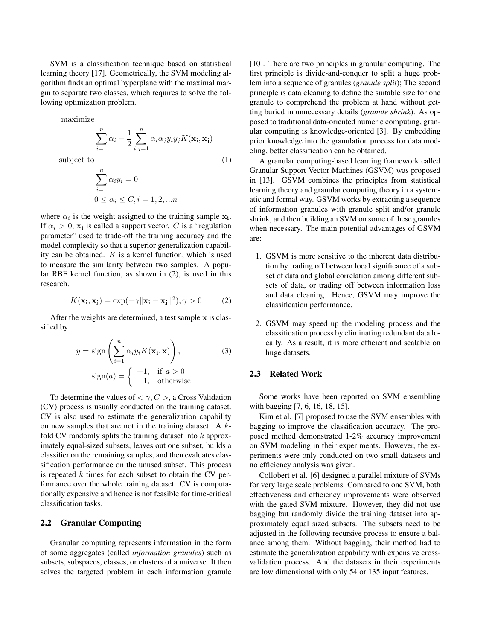SVM is a classification technique based on statistical learning theory [17]. Geometrically, the SVM modeling algorithm finds an optimal hyperplane with the maximal margin to separate two classes, which requires to solve the following optimization problem.

maximize

$$
\sum_{i=1}^{n} \alpha_i - \frac{1}{2} \sum_{i,j=1}^{n} \alpha_i \alpha_j y_i y_j K(\mathbf{x_i}, \mathbf{x_j})
$$

subject to  $(1)$ 

$$
\sum_{i=1}^{n} \alpha_i y_i = 0
$$
  
 
$$
0 \le \alpha_i \le C, i = 1, 2, \dots n
$$

where  $\alpha_i$  is the weight assigned to the training sample  $x_i$ . If  $\alpha_i > 0$ ,  $\mathbf{x_i}$  is called a support vector. C is a "regulation" parameter" used to trade-off the training accuracy and the model complexity so that a superior generalization capability can be obtained.  $K$  is a kernel function, which is used to measure the similarity between two samples. A popular RBF kernel function, as shown in (2), is used in this research.

$$
K(\mathbf{x_i}, \mathbf{x_j}) = \exp(-\gamma \|\mathbf{x_i} - \mathbf{x_j}\|^2), \gamma > 0 \tag{2}
$$

After the weights are determined, a test sample x is classified by

$$
y = \text{sign}\left(\sum_{i=1}^{n} \alpha_i y_i K(\mathbf{x_i}, \mathbf{x})\right),\tag{3}
$$

$$
\text{sign}(a) = \begin{cases} +1, & \text{if } a > 0\\ -1, & \text{otherwise} \end{cases}
$$

To determine the values of  $< \gamma$ ,  $C >$ , a Cross Validation (CV) process is usually conducted on the training dataset. CV is also used to estimate the generalization capability on new samples that are not in the training dataset. A  $k$ fold CV randomly splits the training dataset into  $k$  approximately equal-sized subsets, leaves out one subset, builds a classifier on the remaining samples, and then evaluates classification performance on the unused subset. This process is repeated  $k$  times for each subset to obtain the CV performance over the whole training dataset. CV is computationally expensive and hence is not feasible for time-critical classification tasks.

#### 2.2 Granular Computing

Granular computing represents information in the form of some aggregates (called *information granules*) such as subsets, subspaces, classes, or clusters of a universe. It then solves the targeted problem in each information granule [10]. There are two principles in granular computing. The first principle is divide-and-conquer to split a huge problem into a sequence of granules (*granule split*); The second principle is data cleaning to define the suitable size for one granule to comprehend the problem at hand without getting buried in unnecessary details (*granule shrink*). As opposed to traditional data-oriented numeric computing, granular computing is knowledge-oriented [3]. By embedding prior knowledge into the granulation process for data modeling, better classification can be obtained.

A granular computing-based learning framework called Granular Support Vector Machines (GSVM) was proposed in [13]. GSVM combines the principles from statistical learning theory and granular computing theory in a systematic and formal way. GSVM works by extracting a sequence of information granules with granule split and/or granule shrink, and then building an SVM on some of these granules when necessary. The main potential advantages of GSVM are:

- 1. GSVM is more sensitive to the inherent data distribution by trading off between local significance of a subset of data and global correlation among different subsets of data, or trading off between information loss and data cleaning. Hence, GSVM may improve the classification performance.
- 2. GSVM may speed up the modeling process and the classification process by eliminating redundant data locally. As a result, it is more efficient and scalable on huge datasets.

## 2.3 Related Work

Some works have been reported on SVM ensembling with bagging [7, 6, 16, 18, 15].

Kim et al. [7] proposed to use the SVM ensembles with bagging to improve the classification accuracy. The proposed method demonstrated 1-2% accuracy improvement on SVM modeling in their experiments. However, the experiments were only conducted on two small datasets and no efficiency analysis was given.

Collobert et al. [6] designed a parallel mixture of SVMs for very large scale problems. Compared to one SVM, both effectiveness and efficiency improvements were observed with the gated SVM mixture. However, they did not use bagging but randomly divide the training dataset into approximately equal sized subsets. The subsets need to be adjusted in the following recursive process to ensure a balance among them. Without bagging, their method had to estimate the generalization capability with expensive crossvalidation process. And the datasets in their experiments are low dimensional with only 54 or 135 input features.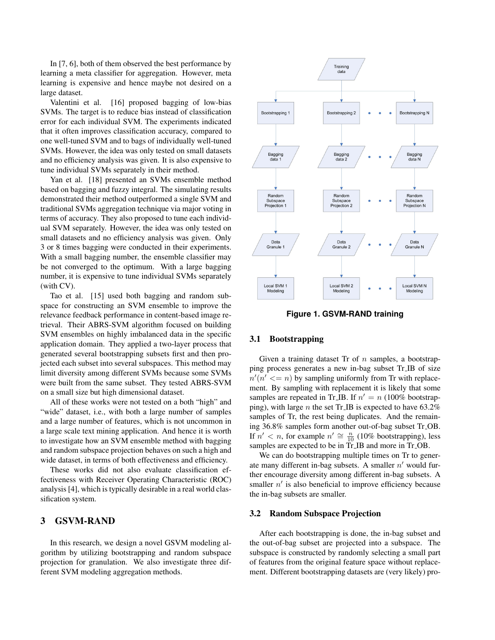In [7, 6], both of them observed the best performance by learning a meta classifier for aggregation. However, meta learning is expensive and hence maybe not desired on a large dataset.

Valentini et al. [16] proposed bagging of low-bias SVMs. The target is to reduce bias instead of classification error for each individual SVM. The experiments indicated that it often improves classification accuracy, compared to one well-tuned SVM and to bags of individually well-tuned SVMs. However, the idea was only tested on small datasets and no efficiency analysis was given. It is also expensive to tune individual SVMs separately in their method.

Yan et al. [18] presented an SVMs ensemble method based on bagging and fuzzy integral. The simulating results demonstrated their method outperformed a single SVM and traditional SVMs aggregation technique via major voting in terms of accuracy. They also proposed to tune each individual SVM separately. However, the idea was only tested on small datasets and no efficiency analysis was given. Only 3 or 8 times bagging were conducted in their experiments. With a small bagging number, the ensemble classifier may be not converged to the optimum. With a large bagging number, it is expensive to tune individual SVMs separately (with CV).

Tao et al. [15] used both bagging and random subspace for constructing an SVM ensemble to improve the relevance feedback performance in content-based image retrieval. Their ABRS-SVM algorithm focused on building SVM ensembles on highly imbalanced data in the specific application domain. They applied a two-layer process that generated several bootstrapping subsets first and then projected each subset into several subspaces. This method may limit diversity among different SVMs because some SVMs were built from the same subset. They tested ABRS-SVM on a small size but high dimensional dataset.

All of these works were not tested on a both "high" and "wide" dataset, i.e., with both a large number of samples and a large number of features, which is not uncommon in a large scale text mining application. And hence it is worth to investigate how an SVM ensemble method with bagging and random subspace projection behaves on such a high and wide dataset, in terms of both effectiveness and efficiency.

These works did not also evaluate classification effectiveness with Receiver Operating Characteristic (ROC) analysis [4], which is typically desirable in a real world classification system.

## 3 GSVM-RAND

In this research, we design a novel GSVM modeling algorithm by utilizing bootstrapping and random subspace projection for granulation. We also investigate three different SVM modeling aggregation methods.



**Figure 1. GSVM-RAND training**

#### 3.1 Bootstrapping

Given a training dataset  $\text{Tr}$  of  $n$  samples, a bootstrapping process generates a new in-bag subset Tr IB of size  $n'(n' \leq n)$  by sampling uniformly from Tr with replacement. By sampling with replacement it is likely that some samples are repeated in Tr<sub>-</sub>IB. If  $n' = n (100\%$  bootstrapping), with large *n* the set Tr<sub>-IB</sub> is expected to have  $63.2\%$ samples of Tr, the rest being duplicates. And the remaining 36.8% samples form another out-of-bag subset Tr OB. If  $n' < n$ , for example  $n' \cong \frac{n}{10}$  (10% bootstrapping), less samples are expected to be in Tr<sub>IB</sub> and more in Tr<sub>IDB</sub>.

We can do bootstrapping multiple times on Tr to generate many different in-bag subsets. A smaller  $n'$  would further encourage diversity among different in-bag subsets. A smaller  $n'$  is also beneficial to improve efficiency because the in-bag subsets are smaller.

#### 3.2 Random Subspace Projection

After each bootstrapping is done, the in-bag subset and the out-of-bag subset are projected into a subspace. The subspace is constructed by randomly selecting a small part of features from the original feature space without replacement. Different bootstrapping datasets are (very likely) pro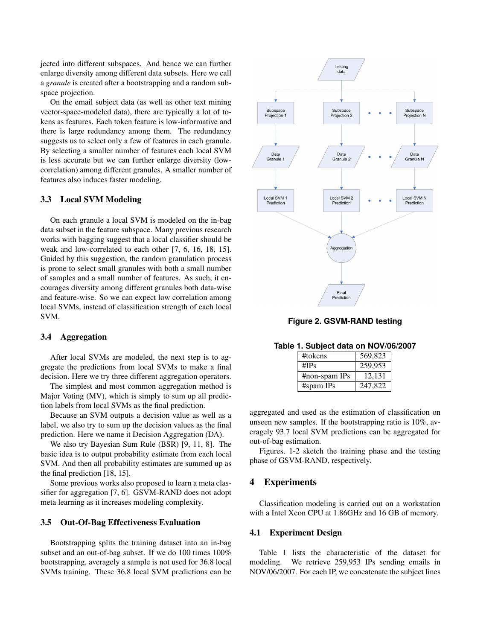jected into different subspaces. And hence we can further enlarge diversity among different data subsets. Here we call a *granule* is created after a bootstrapping and a random subspace projection.

On the email subject data (as well as other text mining vector-space-modeled data), there are typically a lot of tokens as features. Each token feature is low-informative and there is large redundancy among them. The redundancy suggests us to select only a few of features in each granule. By selecting a smaller number of features each local SVM is less accurate but we can further enlarge diversity (lowcorrelation) among different granules. A smaller number of features also induces faster modeling.

#### 3.3 Local SVM Modeling

On each granule a local SVM is modeled on the in-bag data subset in the feature subspace. Many previous research works with bagging suggest that a local classifier should be weak and low-correlated to each other [7, 6, 16, 18, 15]. Guided by this suggestion, the random granulation process is prone to select small granules with both a small number of samples and a small number of features. As such, it encourages diversity among different granules both data-wise and feature-wise. So we can expect low correlation among local SVMs, instead of classification strength of each local SVM.

#### 3.4 Aggregation

After local SVMs are modeled, the next step is to aggregate the predictions from local SVMs to make a final decision. Here we try three different aggregation operators.

The simplest and most common aggregation method is Major Voting (MV), which is simply to sum up all prediction labels from local SVMs as the final prediction.

Because an SVM outputs a decision value as well as a label, we also try to sum up the decision values as the final prediction. Here we name it Decision Aggregation (DA).

We also try Bayesian Sum Rule (BSR) [9, 11, 8]. The basic idea is to output probability estimate from each local SVM. And then all probability estimates are summed up as the final prediction [18, 15].

Some previous works also proposed to learn a meta classifier for aggregation [7, 6]. GSVM-RAND does not adopt meta learning as it increases modeling complexity.

## 3.5 Out-Of-Bag Effectiveness Evaluation

Bootstrapping splits the training dataset into an in-bag subset and an out-of-bag subset. If we do 100 times 100% bootstrapping, averagely a sample is not used for 36.8 local SVMs training. These 36.8 local SVM predictions can be



**Figure 2. GSVM-RAND testing**

| #tokens         | 569,823 |
|-----------------|---------|
| # $IPs$         | 259,953 |
| $#non-spam$ IPs | 12,131  |
| #spam IPs       | 247,822 |

**Table 1. Subject data on NOV/06/2007**

aggregated and used as the estimation of classification on unseen new samples. If the bootstrapping ratio is 10%, averagely 93.7 local SVM predictions can be aggregated for out-of-bag estimation.

Figures. 1-2 sketch the training phase and the testing phase of GSVM-RAND, respectively.

## 4 Experiments

Classification modeling is carried out on a workstation with a Intel Xeon CPU at 1.86GHz and 16 GB of memory.

#### 4.1 Experiment Design

Table 1 lists the characteristic of the dataset for modeling. We retrieve 259,953 IPs sending emails in NOV/06/2007. For each IP, we concatenate the subject lines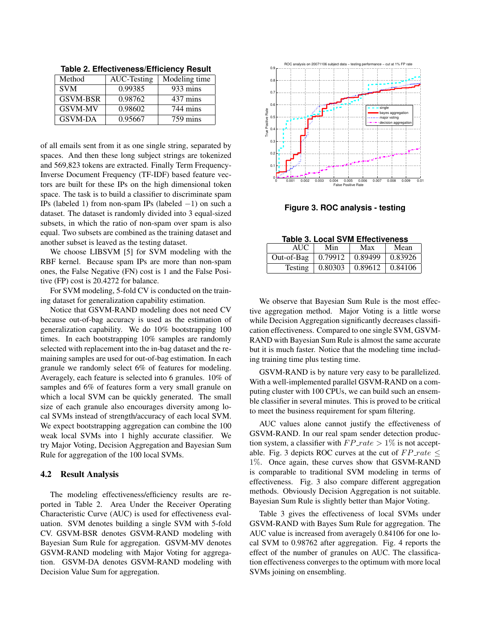Method | AUC-Testing | Modeling time SVM 0.99385 933 mins GSVM-BSR | 0.98762 | 437 mins GSVM-MV 0.98602 744 mins GSVM-DA | 0.95667 | 759 mins

**Table 2. Effectiveness/Efficiency Result**

of all emails sent from it as one single string, separated by spaces. And then these long subject strings are tokenized and 569,823 tokens are extracted. Finally Term Frequency-Inverse Document Frequency (TF-IDF) based feature vectors are built for these IPs on the high dimensional token space. The task is to build a classifier to discriminate spam IPs (labeled 1) from non-spam IPs (labeled −1) on such a dataset. The dataset is randomly divided into 3 equal-sized subsets, in which the ratio of non-spam over spam is also equal. Two subsets are combined as the training dataset and another subset is leaved as the testing dataset.

We choose LIBSVM [5] for SVM modeling with the RBF kernel. Because spam IPs are more than non-spam ones, the False Negative (FN) cost is 1 and the False Positive (FP) cost is 20.4272 for balance.

For SVM modeling, 5-fold CV is conducted on the training dataset for generalization capability estimation.

Notice that GSVM-RAND modeling does not need CV because out-of-bag accuracy is used as the estimation of generalization capability. We do 10% bootstrapping 100 times. In each bootstrapping 10% samples are randomly selected with replacement into the in-bag dataset and the remaining samples are used for out-of-bag estimation. In each granule we randomly select 6% of features for modeling. Averagely, each feature is selected into 6 granules. 10% of samples and 6% of features form a very small granule on which a local SVM can be quickly generated. The small size of each granule also encourages diversity among local SVMs instead of strength/accuracy of each local SVM. We expect bootstrapping aggregation can combine the 100 weak local SVMs into 1 highly accurate classifier. We try Major Voting, Decision Aggregation and Bayesian Sum Rule for aggregation of the 100 local SVMs.

#### 4.2 Result Analysis

The modeling effectiveness/efficiency results are reported in Table 2. Area Under the Receiver Operating Characteristic Curve (AUC) is used for effectiveness evaluation. SVM denotes building a single SVM with 5-fold CV. GSVM-BSR denotes GSVM-RAND modeling with Bayesian Sum Rule for aggregation. GSVM-MV denotes GSVM-RAND modeling with Major Voting for aggregation. GSVM-DA denotes GSVM-RAND modeling with Decision Value Sum for aggregation.



**Figure 3. ROC analysis - testing**

|  |  | <b>Table 3. Local SVM Effectiveness</b> |
|--|--|-----------------------------------------|
|  |  |                                         |

| AUC            | Min     | Max           | Mean    |
|----------------|---------|---------------|---------|
| Out-of-Bag     | 0.79912 | $\pm 0.89499$ | 0.83926 |
| <b>Testing</b> | 0.80303 | $\pm 0.89612$ | 0.84106 |

We observe that Bayesian Sum Rule is the most effective aggregation method. Major Voting is a little worse while Decision Aggregation significantly decreases classification effectiveness. Compared to one single SVM, GSVM-RAND with Bayesian Sum Rule is almost the same accurate but it is much faster. Notice that the modeling time including training time plus testing time.

GSVM-RAND is by nature very easy to be parallelized. With a well-implemented parallel GSVM-RAND on a computing cluster with 100 CPUs, we can build such an ensemble classifier in several minutes. This is proved to be critical to meet the business requirement for spam filtering.

AUC values alone cannot justify the effectiveness of GSVM-RAND. In our real spam sender detection production system, a classifier with  $FP\_rate > 1\%$  is not acceptable. Fig. 3 depicts ROC curves at the cut of  $FP\_rate \le$ 1%. Once again, these curves show that GSVM-RAND is comparable to traditional SVM modeling in terms of effectiveness. Fig. 3 also compare different aggregation methods. Obviously Decision Aggregation is not suitable. Bayesian Sum Rule is slightly better than Major Voting.

Table 3 gives the effectiveness of local SVMs under GSVM-RAND with Bayes Sum Rule for aggregation. The AUC value is increased from averagely 0.84106 for one local SVM to 0.98762 after aggregation. Fig. 4 reports the effect of the number of granules on AUC. The classification effectiveness converges to the optimum with more local SVMs joining on ensembling.